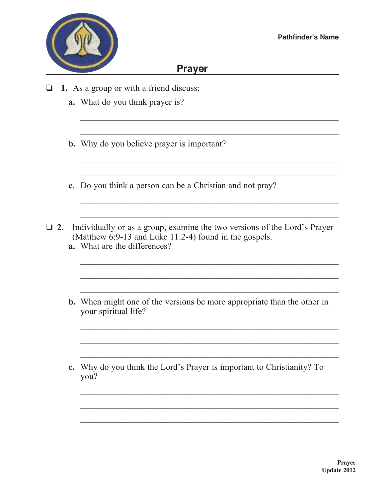## **Prayer**

 $\mathcal{L}_\text{max} = \frac{1}{2} \sum_{i=1}^n \frac{1}{2} \sum_{i=1}^n \frac{1}{2} \sum_{i=1}^n \frac{1}{2} \sum_{i=1}^n \frac{1}{2} \sum_{i=1}^n \frac{1}{2} \sum_{i=1}^n \frac{1}{2} \sum_{i=1}^n \frac{1}{2} \sum_{i=1}^n \frac{1}{2} \sum_{i=1}^n \frac{1}{2} \sum_{i=1}^n \frac{1}{2} \sum_{i=1}^n \frac{1}{2} \sum_{i=1}^n \frac{1}{2} \sum_{i=1}^n$ 

 $\mathcal{L}_\text{max} = \frac{1}{2} \sum_{i=1}^{n} \frac{1}{2} \sum_{i=1}^{n} \frac{1}{2} \sum_{i=1}^{n} \frac{1}{2} \sum_{i=1}^{n} \frac{1}{2} \sum_{i=1}^{n} \frac{1}{2} \sum_{i=1}^{n} \frac{1}{2} \sum_{i=1}^{n} \frac{1}{2} \sum_{i=1}^{n} \frac{1}{2} \sum_{i=1}^{n} \frac{1}{2} \sum_{i=1}^{n} \frac{1}{2} \sum_{i=1}^{n} \frac{1}{2} \sum_{i=1}^{n} \frac{1$ 

 $\mathcal{L}_\text{max} = \frac{1}{2} \sum_{i=1}^{n} \frac{1}{2} \sum_{i=1}^{n} \frac{1}{2} \sum_{i=1}^{n} \frac{1}{2} \sum_{i=1}^{n} \frac{1}{2} \sum_{i=1}^{n} \frac{1}{2} \sum_{i=1}^{n} \frac{1}{2} \sum_{i=1}^{n} \frac{1}{2} \sum_{i=1}^{n} \frac{1}{2} \sum_{i=1}^{n} \frac{1}{2} \sum_{i=1}^{n} \frac{1}{2} \sum_{i=1}^{n} \frac{1}{2} \sum_{i=1}^{n} \frac{1$ 

 $\frac{1}{2}$  ,  $\frac{1}{2}$  ,  $\frac{1}{2}$  ,  $\frac{1}{2}$  ,  $\frac{1}{2}$  ,  $\frac{1}{2}$  ,  $\frac{1}{2}$  ,  $\frac{1}{2}$  ,  $\frac{1}{2}$  ,  $\frac{1}{2}$  ,  $\frac{1}{2}$  ,  $\frac{1}{2}$  ,  $\frac{1}{2}$  ,  $\frac{1}{2}$  ,  $\frac{1}{2}$  ,  $\frac{1}{2}$  ,  $\frac{1}{2}$  ,  $\frac{1}{2}$  ,  $\frac{1$ 

 $\mathcal{L}_\text{max} = \frac{1}{2} \sum_{i=1}^{n} \frac{1}{2} \sum_{i=1}^{n} \frac{1}{2} \sum_{i=1}^{n} \frac{1}{2} \sum_{i=1}^{n} \frac{1}{2} \sum_{i=1}^{n} \frac{1}{2} \sum_{i=1}^{n} \frac{1}{2} \sum_{i=1}^{n} \frac{1}{2} \sum_{i=1}^{n} \frac{1}{2} \sum_{i=1}^{n} \frac{1}{2} \sum_{i=1}^{n} \frac{1}{2} \sum_{i=1}^{n} \frac{1}{2} \sum_{i=1}^{n} \frac{1$ 

 $\mathcal{L}_\text{max} = \frac{1}{2} \sum_{i=1}^{n} \frac{1}{2} \sum_{i=1}^{n} \frac{1}{2} \sum_{i=1}^{n} \frac{1}{2} \sum_{i=1}^{n} \frac{1}{2} \sum_{i=1}^{n} \frac{1}{2} \sum_{i=1}^{n} \frac{1}{2} \sum_{i=1}^{n} \frac{1}{2} \sum_{i=1}^{n} \frac{1}{2} \sum_{i=1}^{n} \frac{1}{2} \sum_{i=1}^{n} \frac{1}{2} \sum_{i=1}^{n} \frac{1}{2} \sum_{i=1}^{n} \frac{1$ 

- $\Box$  **1.** As a group or with a friend discuss:
	- **a.** What do you think prayer is?
	- **b.** Why do you believe prayer is important?
	- **c.** Do you think a person can be a Christian and not pray?
- □ 2. Individually or as a group, examine the two versions of the Lord's Prayer (Matthew 6:9-13 and Luke 11:2-4) found in the gospels.  **a.** What are the differences?

 $\frac{1}{2}$  ,  $\frac{1}{2}$  ,  $\frac{1}{2}$  ,  $\frac{1}{2}$  ,  $\frac{1}{2}$  ,  $\frac{1}{2}$  ,  $\frac{1}{2}$  ,  $\frac{1}{2}$  ,  $\frac{1}{2}$  ,  $\frac{1}{2}$  ,  $\frac{1}{2}$  ,  $\frac{1}{2}$  ,  $\frac{1}{2}$  ,  $\frac{1}{2}$  ,  $\frac{1}{2}$  ,  $\frac{1}{2}$  ,  $\frac{1}{2}$  ,  $\frac{1}{2}$  ,  $\frac{1$ 

 $\mathcal{L}_\text{max} = \frac{1}{2} \sum_{i=1}^n \frac{1}{2} \sum_{i=1}^n \frac{1}{2} \sum_{i=1}^n \frac{1}{2} \sum_{i=1}^n \frac{1}{2} \sum_{i=1}^n \frac{1}{2} \sum_{i=1}^n \frac{1}{2} \sum_{i=1}^n \frac{1}{2} \sum_{i=1}^n \frac{1}{2} \sum_{i=1}^n \frac{1}{2} \sum_{i=1}^n \frac{1}{2} \sum_{i=1}^n \frac{1}{2} \sum_{i=1}^n \frac{1}{2} \sum_{i=1}^n$ 

 $\mathcal{L}_\text{max} = \frac{1}{2} \sum_{i=1}^{n} \frac{1}{2} \sum_{i=1}^{n} \frac{1}{2} \sum_{i=1}^{n} \frac{1}{2} \sum_{i=1}^{n} \frac{1}{2} \sum_{i=1}^{n} \frac{1}{2} \sum_{i=1}^{n} \frac{1}{2} \sum_{i=1}^{n} \frac{1}{2} \sum_{i=1}^{n} \frac{1}{2} \sum_{i=1}^{n} \frac{1}{2} \sum_{i=1}^{n} \frac{1}{2} \sum_{i=1}^{n} \frac{1}{2} \sum_{i=1}^{n} \frac{1$ 

 $\frac{1}{2}$  ,  $\frac{1}{2}$  ,  $\frac{1}{2}$  ,  $\frac{1}{2}$  ,  $\frac{1}{2}$  ,  $\frac{1}{2}$  ,  $\frac{1}{2}$  ,  $\frac{1}{2}$  ,  $\frac{1}{2}$  ,  $\frac{1}{2}$  ,  $\frac{1}{2}$  ,  $\frac{1}{2}$  ,  $\frac{1}{2}$  ,  $\frac{1}{2}$  ,  $\frac{1}{2}$  ,  $\frac{1}{2}$  ,  $\frac{1}{2}$  ,  $\frac{1}{2}$  ,  $\frac{1$ 

 $\mathcal{L}_\text{max} = \frac{1}{2} \sum_{i=1}^n \frac{1}{2} \sum_{i=1}^n \frac{1}{2} \sum_{i=1}^n \frac{1}{2} \sum_{i=1}^n \frac{1}{2} \sum_{i=1}^n \frac{1}{2} \sum_{i=1}^n \frac{1}{2} \sum_{i=1}^n \frac{1}{2} \sum_{i=1}^n \frac{1}{2} \sum_{i=1}^n \frac{1}{2} \sum_{i=1}^n \frac{1}{2} \sum_{i=1}^n \frac{1}{2} \sum_{i=1}^n \frac{1}{2} \sum_{i=1}^n$ 

 $\mathcal{L}_\text{max} = \frac{1}{2} \sum_{i=1}^{n} \frac{1}{2} \sum_{i=1}^{n} \frac{1}{2} \sum_{i=1}^{n} \frac{1}{2} \sum_{i=1}^{n} \frac{1}{2} \sum_{i=1}^{n} \frac{1}{2} \sum_{i=1}^{n} \frac{1}{2} \sum_{i=1}^{n} \frac{1}{2} \sum_{i=1}^{n} \frac{1}{2} \sum_{i=1}^{n} \frac{1}{2} \sum_{i=1}^{n} \frac{1}{2} \sum_{i=1}^{n} \frac{1}{2} \sum_{i=1}^{n} \frac{1$ 

 $\frac{1}{2}$  ,  $\frac{1}{2}$  ,  $\frac{1}{2}$  ,  $\frac{1}{2}$  ,  $\frac{1}{2}$  ,  $\frac{1}{2}$  ,  $\frac{1}{2}$  ,  $\frac{1}{2}$  ,  $\frac{1}{2}$  ,  $\frac{1}{2}$  ,  $\frac{1}{2}$  ,  $\frac{1}{2}$  ,  $\frac{1}{2}$  ,  $\frac{1}{2}$  ,  $\frac{1}{2}$  ,  $\frac{1}{2}$  ,  $\frac{1}{2}$  ,  $\frac{1}{2}$  ,  $\frac{1$ 

 **b.** When might one of the versions be more appropriate than the other in your spiritual life?

\_\_\_\_\_\_\_\_\_\_\_\_\_\_\_\_\_\_\_\_\_\_\_\_\_\_\_\_\_\_\_\_\_\_\_\_\_\_\_\_\_\_\_\_\_\_\_\_\_\_\_\_\_\_\_\_\_\_

 **c.** Why do you think the Lord's Prayer is important to Christianity? To you?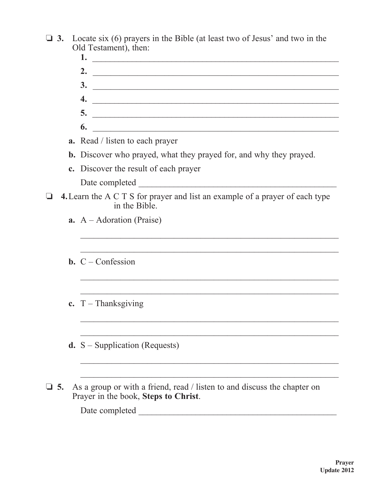- $\Box$  3. Locate six (6) prayers in the Bible (at least two of Jesus' and two in the Old Testament), then:
	- **1.** \_\_\_\_\_\_\_\_\_\_\_\_\_\_\_\_\_\_\_\_\_\_\_\_\_\_\_\_\_\_\_\_\_\_\_\_\_\_\_\_\_\_\_\_\_\_\_\_\_\_\_\_\_\_\_\_  **2.** \_\_\_\_\_\_\_\_\_\_\_\_\_\_\_\_\_\_\_\_\_\_\_\_\_\_\_\_\_\_\_\_\_\_\_\_\_\_\_\_\_\_\_\_\_\_\_\_\_\_\_\_\_\_\_  **3.** \_\_\_\_\_\_\_\_\_\_\_\_\_\_\_\_\_\_\_\_\_\_\_\_\_\_\_\_\_\_\_\_\_\_\_\_\_\_\_\_\_\_\_\_\_\_\_\_\_\_\_\_\_\_\_  **4.** \_\_\_\_\_\_\_\_\_\_\_\_\_\_\_\_\_\_\_\_\_\_\_\_\_\_\_\_\_\_\_\_\_\_\_\_\_\_\_\_\_\_\_\_\_\_\_\_\_\_\_\_\_\_\_\_  **5.** \_\_\_\_\_\_\_\_\_\_\_\_\_\_\_\_\_\_\_\_\_\_\_\_\_\_\_\_\_\_\_\_\_\_\_\_\_\_\_\_\_\_\_\_\_\_\_\_\_\_\_\_\_\_\_\_  **6.** \_\_\_\_\_\_\_\_\_\_\_\_\_\_\_\_\_\_\_\_\_\_\_\_\_\_\_\_\_\_\_\_\_\_\_\_\_\_\_\_\_\_\_\_\_\_\_\_\_\_\_\_\_\_\_
	- **a.** Read / listen to each prayer
	- **b.** Discover who prayed, what they prayed for, and why they prayed.
	- **c.** Discover the result of each prayer Date completed \_\_\_\_\_\_\_\_\_\_\_\_\_\_\_\_\_\_\_\_\_\_\_\_\_\_\_\_\_\_\_\_\_\_\_\_\_\_\_\_\_\_\_\_\_
- o **4.**Learn the A C T S for prayer and list an example of a prayer of each type in the Bible.

 $\mathcal{L}_\text{max} = \frac{1}{2} \sum_{i=1}^{n} \frac{1}{2} \sum_{i=1}^{n} \frac{1}{2} \sum_{i=1}^{n} \frac{1}{2} \sum_{i=1}^{n} \frac{1}{2} \sum_{i=1}^{n} \frac{1}{2} \sum_{i=1}^{n} \frac{1}{2} \sum_{i=1}^{n} \frac{1}{2} \sum_{i=1}^{n} \frac{1}{2} \sum_{i=1}^{n} \frac{1}{2} \sum_{i=1}^{n} \frac{1}{2} \sum_{i=1}^{n} \frac{1}{2} \sum_{i=1}^{n} \frac{1$ 

 $\mathcal{L}_\text{max} = \frac{1}{2} \sum_{i=1}^{n} \frac{1}{2} \sum_{i=1}^{n} \frac{1}{2} \sum_{i=1}^{n} \frac{1}{2} \sum_{i=1}^{n} \frac{1}{2} \sum_{i=1}^{n} \frac{1}{2} \sum_{i=1}^{n} \frac{1}{2} \sum_{i=1}^{n} \frac{1}{2} \sum_{i=1}^{n} \frac{1}{2} \sum_{i=1}^{n} \frac{1}{2} \sum_{i=1}^{n} \frac{1}{2} \sum_{i=1}^{n} \frac{1}{2} \sum_{i=1}^{n} \frac{1$ 

 $\mathcal{L}_\text{max} = \frac{1}{2} \sum_{i=1}^{n} \frac{1}{2} \sum_{i=1}^{n} \frac{1}{2} \sum_{i=1}^{n} \frac{1}{2} \sum_{i=1}^{n} \frac{1}{2} \sum_{i=1}^{n} \frac{1}{2} \sum_{i=1}^{n} \frac{1}{2} \sum_{i=1}^{n} \frac{1}{2} \sum_{i=1}^{n} \frac{1}{2} \sum_{i=1}^{n} \frac{1}{2} \sum_{i=1}^{n} \frac{1}{2} \sum_{i=1}^{n} \frac{1}{2} \sum_{i=1}^{n} \frac{1$ 

 $\mathcal{L}_\mathcal{L} = \mathcal{L}_\mathcal{L} = \mathcal{L}_\mathcal{L} = \mathcal{L}_\mathcal{L} = \mathcal{L}_\mathcal{L} = \mathcal{L}_\mathcal{L} = \mathcal{L}_\mathcal{L} = \mathcal{L}_\mathcal{L} = \mathcal{L}_\mathcal{L} = \mathcal{L}_\mathcal{L} = \mathcal{L}_\mathcal{L} = \mathcal{L}_\mathcal{L} = \mathcal{L}_\mathcal{L} = \mathcal{L}_\mathcal{L} = \mathcal{L}_\mathcal{L} = \mathcal{L}_\mathcal{L} = \mathcal{L}_\mathcal{L}$ 

- **a.** A Adoration (Praise)
- **b.** C Confession
- **c.** T Thanksgiving
- **d.** S Supplication (Requests)
- $\Box$  5. As a group or with a friend, read / listen to and discuss the chapter on Prayer in the book, **Steps to Christ**.

 $\frac{1}{2}$  ,  $\frac{1}{2}$  ,  $\frac{1}{2}$  ,  $\frac{1}{2}$  ,  $\frac{1}{2}$  ,  $\frac{1}{2}$  ,  $\frac{1}{2}$  ,  $\frac{1}{2}$  ,  $\frac{1}{2}$  ,  $\frac{1}{2}$  ,  $\frac{1}{2}$  ,  $\frac{1}{2}$  ,  $\frac{1}{2}$  ,  $\frac{1}{2}$  ,  $\frac{1}{2}$  ,  $\frac{1}{2}$  ,  $\frac{1}{2}$  ,  $\frac{1}{2}$  ,  $\frac{1$ 

Date completed \_\_\_\_\_\_\_\_\_\_\_\_\_\_\_\_\_\_\_\_\_\_\_\_\_\_\_\_\_\_\_\_\_\_\_\_\_\_\_\_\_\_\_\_\_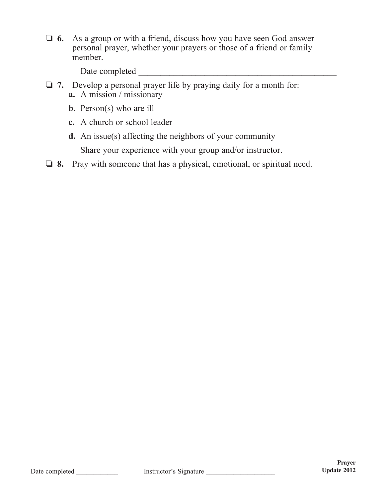**6.** As a group or with a friend, discuss how you have seen God answer personal prayer, whether your prayers or those of a friend or family member.

Date completed \_\_\_\_\_\_\_\_\_\_\_\_\_\_\_\_\_\_\_\_\_\_\_\_\_\_\_\_\_\_\_\_\_\_\_\_\_\_\_\_\_\_\_\_\_

- □ 7. Develop a personal prayer life by praying daily for a month for: **a.** A mission / missionary
	- **b.** Person(s) who are ill
	- **c.** A church or school leader
	- **d.** An issue(s) affecting the neighbors of your community

Share your experience with your group and/or instructor.

**1** 8. Pray with someone that has a physical, emotional, or spiritual need.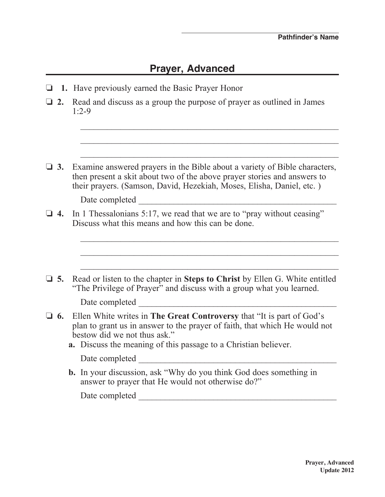## **Prayer, Advanced**

- **1.** Have previously earned the Basic Prayer Honor
- $\Box$  **2.** Read and discuss as a group the purpose of prayer as outlined in James 1:2-9

 $\mathcal{L}_\text{max} = \frac{1}{2} \sum_{i=1}^n \frac{1}{2} \sum_{i=1}^n \frac{1}{2} \sum_{i=1}^n \frac{1}{2} \sum_{i=1}^n \frac{1}{2} \sum_{i=1}^n \frac{1}{2} \sum_{i=1}^n \frac{1}{2} \sum_{i=1}^n \frac{1}{2} \sum_{i=1}^n \frac{1}{2} \sum_{i=1}^n \frac{1}{2} \sum_{i=1}^n \frac{1}{2} \sum_{i=1}^n \frac{1}{2} \sum_{i=1}^n \frac{1}{2} \sum_{i=1}^n$ 

 $\Box$  **3.** Examine answered prayers in the Bible about a variety of Bible characters, then present a skit about two of the above prayer stories and answers to their prayers. (Samson, David, Hezekiah, Moses, Elisha, Daniel, etc. )

 $\mathcal{L}_\text{max} = \frac{1}{2} \sum_{i=1}^{n} \frac{1}{2} \sum_{i=1}^{n} \frac{1}{2} \sum_{i=1}^{n} \frac{1}{2} \sum_{i=1}^{n} \frac{1}{2} \sum_{i=1}^{n} \frac{1}{2} \sum_{i=1}^{n} \frac{1}{2} \sum_{i=1}^{n} \frac{1}{2} \sum_{i=1}^{n} \frac{1}{2} \sum_{i=1}^{n} \frac{1}{2} \sum_{i=1}^{n} \frac{1}{2} \sum_{i=1}^{n} \frac{1}{2} \sum_{i=1}^{n} \frac{1$ 

Date completed \_\_\_\_\_\_\_\_\_\_\_\_\_\_\_\_\_\_\_\_\_\_\_\_\_\_\_\_\_\_\_\_\_\_\_\_\_\_\_\_\_\_\_\_\_

- $\Box$  **4.** In 1 Thessalonians 5:17, we read that we are to "pray without ceasing" Discuss what this means and how this can be done.
- $\mathcal{L}_\text{max} = \frac{1}{2} \sum_{i=1}^{n} \frac{1}{2} \sum_{i=1}^{n} \frac{1}{2} \sum_{i=1}^{n} \frac{1}{2} \sum_{i=1}^{n} \frac{1}{2} \sum_{i=1}^{n} \frac{1}{2} \sum_{i=1}^{n} \frac{1}{2} \sum_{i=1}^{n} \frac{1}{2} \sum_{i=1}^{n} \frac{1}{2} \sum_{i=1}^{n} \frac{1}{2} \sum_{i=1}^{n} \frac{1}{2} \sum_{i=1}^{n} \frac{1}{2} \sum_{i=1}^{n} \frac{1$  $\mathcal{L}_\text{max} = \frac{1}{2} \sum_{i=1}^{n} \frac{1}{2} \sum_{i=1}^{n} \frac{1}{2} \sum_{i=1}^{n} \frac{1}{2} \sum_{i=1}^{n} \frac{1}{2} \sum_{i=1}^{n} \frac{1}{2} \sum_{i=1}^{n} \frac{1}{2} \sum_{i=1}^{n} \frac{1}{2} \sum_{i=1}^{n} \frac{1}{2} \sum_{i=1}^{n} \frac{1}{2} \sum_{i=1}^{n} \frac{1}{2} \sum_{i=1}^{n} \frac{1}{2} \sum_{i=1}^{n} \frac{1$  $\mathcal{L}_\text{max} = \frac{1}{2} \sum_{i=1}^{n} \frac{1}{2} \sum_{i=1}^{n} \frac{1}{2} \sum_{i=1}^{n} \frac{1}{2} \sum_{i=1}^{n} \frac{1}{2} \sum_{i=1}^{n} \frac{1}{2} \sum_{i=1}^{n} \frac{1}{2} \sum_{i=1}^{n} \frac{1}{2} \sum_{i=1}^{n} \frac{1}{2} \sum_{i=1}^{n} \frac{1}{2} \sum_{i=1}^{n} \frac{1}{2} \sum_{i=1}^{n} \frac{1}{2} \sum_{i=1}^{n} \frac{1$ □ 5. Read or listen to the chapter in Steps to Christ by Ellen G. White entitled "The Privilege of Prayer" and discuss with a group what you learned. Date completed  $\Box$ □ 6. Ellen White writes in **The Great Controversy** that "It is part of God's plan to grant us in answer to the prayer of faith, that which He would not bestow did we not thus ask."  **a.** Discuss the meaning of this passage to a Christian believer. Date completed \_\_\_\_\_\_\_\_\_\_\_\_\_\_\_\_\_\_\_\_\_\_\_\_\_\_\_\_\_\_\_\_\_\_\_\_\_\_\_\_\_\_\_\_\_  **b.** In your discussion, ask "Why do you think God does something in answer to prayer that He would not otherwise do?" Date completed \_\_\_\_\_\_\_\_\_\_\_\_\_\_\_\_\_\_\_\_\_\_\_\_\_\_\_\_\_\_\_\_\_\_\_\_\_\_\_\_\_\_\_\_\_